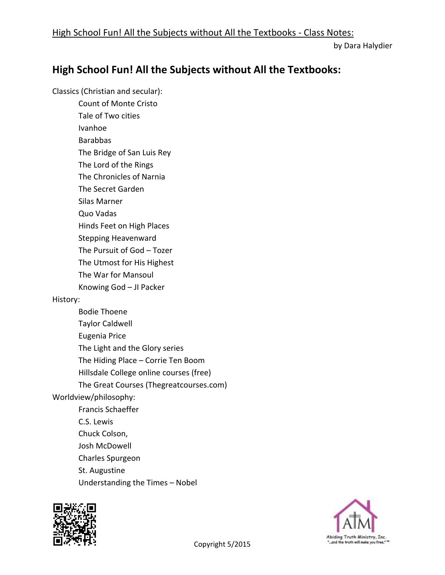by Dara Halydier

## **High School Fun! All the Subjects without All the Textbooks:**

Classics (Christian and secular):

Count of Monte Cristo Tale of Two cities

Ivanhoe

Barabbas

The Bridge of San Luis Rey

The Lord of the Rings

The Chronicles of Narnia

The Secret Garden

Silas Marner

Quo Vadas

Hinds Feet on High Places

Stepping Heavenward

The Pursuit of God – Tozer

The Utmost for His Highest

The War for Mansoul

Knowing God – JI Packer

## History:

Bodie Thoene Taylor Caldwell Eugenia Price The Light and the Glory series The Hiding Place – Corrie Ten Boom Hillsdale College online courses (free) The Great Courses (Thegreatcourses.com) Worldview/philosophy: Francis Schaeffer C.S. Lewis Chuck Colson, Josh McDowell Charles Spurgeon St. Augustine Understanding the Times – Nobel